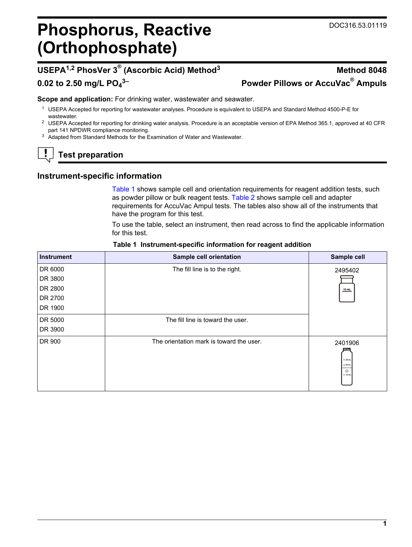## **Phosphorus, Reactive (Orthophosphate)**

## **USEPA1,2 PhosVer 3® (Ascorbic Acid) Method<sup>3</sup> Method 8048**

## **0.02 to 2.50 mg/L PO<sup>4</sup>**

# **3– Powder Pillows or AccuVac® Ampuls**

**Scope and application:** For drinking water, wastewater and seawater.

- <sup>1</sup> USEPA Accepted for reporting for wastewater analyses. Procedure is equivalent to USEPA and Standard Method 4500-P-E for wastewater.
- <sup>2</sup> USEPA Accepted for reporting for drinking water analysis. Procedure is an acceptable version of EPA Method 365.1, approved at 40 CFR part 141 NPDWR compliance monitoring.
- <sup>3</sup> Adapted from Standard Methods for the Examination of Water and Wastewater.

## **Test preparation**

## **Instrument-specific information**

[Table 1](#page-0-0) shows sample cell and orientation requirements for reagent addition tests, such as powder pillow or bulk reagent tests. [Table 2](#page-1-0) shows sample cell and adapter requirements for AccuVac Ampul tests. The tables also show all of the instruments that have the program for this test.

To use the table, select an instrument, then read across to find the applicable information for this test.

<span id="page-0-1"></span><span id="page-0-0"></span>

| <b>Instrument</b> | Sample cell orientation                  | Sample cell                                        |
|-------------------|------------------------------------------|----------------------------------------------------|
| DR 6000           | The fill line is to the right.           | 2495402                                            |
| DR 3800           |                                          |                                                    |
| DR 2800           |                                          | 10 mL                                              |
| DR 2700           |                                          |                                                    |
| DR 1900           |                                          |                                                    |
| DR 5000           | The fill line is toward the user.        |                                                    |
| DR 3900           |                                          |                                                    |
| DR 900            | The orientation mark is toward the user. | 2401906<br>$-25$ mL<br>$= 20$ mL<br>۰<br>$= 10$ mL |

#### **Table 1 Instrument-specific information for reagent addition**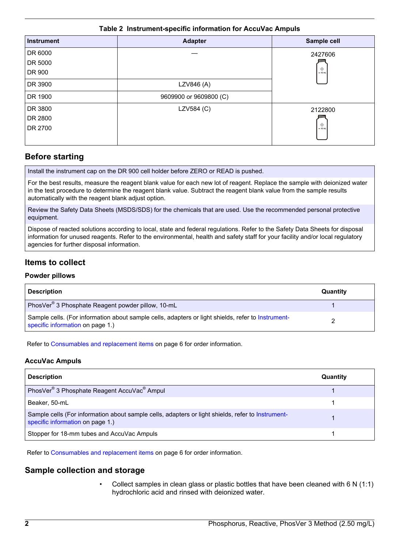#### **Table 2 Instrument-specific information for AccuVac Ampuls**

<span id="page-1-0"></span>

| <b>Instrument</b> | <b>Adapter</b>         | Sample cell |
|-------------------|------------------------|-------------|
| DR 6000           |                        | 2427606     |
| DR 5000           |                        |             |
| DR 900            |                        | $= 10$ mL   |
| DR 3900           | LZV846 (A)             |             |
| DR 1900           | 9609900 or 9609800 (C) |             |
| DR 3800           | LZV584 (C)             | 2122800     |
| DR 2800           |                        |             |
| DR 2700           |                        | $= 10$ mL   |

## **Before starting**

Install the instrument cap on the DR 900 cell holder before ZERO or READ is pushed.

For the best results, measure the reagent blank value for each new lot of reagent. Replace the sample with deionized water in the test procedure to determine the reagent blank value. Subtract the reagent blank value from the sample results automatically with the reagent blank adjust option.

Review the Safety Data Sheets (MSDS/SDS) for the chemicals that are used. Use the recommended personal protective equipment.

Dispose of reacted solutions according to local, state and federal regulations. Refer to the Safety Data Sheets for disposal information for unused reagents. Refer to the environmental, health and safety staff for your facility and/or local regulatory agencies for further disposal information.

## **Items to collect**

#### **Powder pillows**

| <b>Description</b>                                                                                                                     | Quantity |
|----------------------------------------------------------------------------------------------------------------------------------------|----------|
| PhosVer <sup>®</sup> 3 Phosphate Reagent powder pillow, 10-mL                                                                          |          |
| Sample cells. (For information about sample cells, adapters or light shields, refer to Instrument-<br>specific information on page 1.) |          |

Refer to [Consumables and replacement items o](#page-5-0)n page 6 for order information.

#### **AccuVac Ampuls**

| <b>Description</b>                                                                                                                    | Quantity |
|---------------------------------------------------------------------------------------------------------------------------------------|----------|
| PhosVer <sup>®</sup> 3 Phosphate Reagent AccuVac <sup>®</sup> Ampul                                                                   |          |
| Beaker, 50-mL                                                                                                                         |          |
| Sample cells (For information about sample cells, adapters or light shields, refer to Instrument-<br>specific information on page 1.) |          |
| Stopper for 18-mm tubes and AccuVac Ampuls                                                                                            |          |

Refer to [Consumables and replacement items o](#page-5-0)n page 6 for order information.

## **Sample collection and storage**

• Collect samples in clean glass or plastic bottles that have been cleaned with 6 N (1:1) hydrochloric acid and rinsed with deionized water.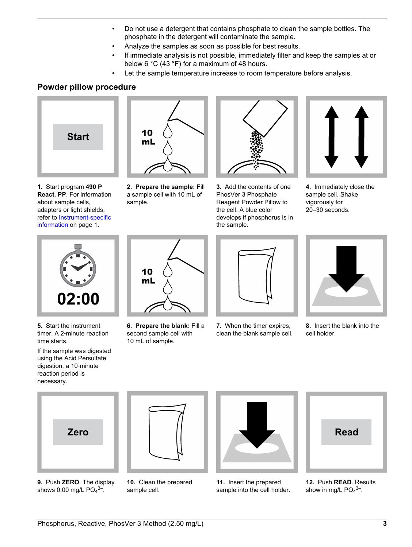- Do not use a detergent that contains phosphate to clean the sample bottles. The phosphate in the detergent will contaminate the sample.
- Analyze the samples as soon as possible for best results.
- If immediate analysis is not possible, immediately filter and keep the samples at or below 6 °C (43 °F) for a maximum of 48 hours.
- Let the sample temperature increase to room temperature before analysis.

## **Powder pillow procedure**



**1.** Start program **490 P React. PP**. For information about sample cells, adapters or light shields, refer to [Instrument-specific](#page-0-1) [information](#page-0-1) on page 1.



**2. Prepare the sample:** Fill a sample cell with 10 mL of sample.



**3.** Add the contents of one PhosVer 3 Phosphate Reagent Powder Pillow to the cell. A blue color develops if phosphorus is in the sample.



**4.** Immediately close the sample cell. Shake vigorously for 20–30 seconds.



**5.** Start the instrument timer. A 2‑minute reaction time starts.

If the sample was digested using the Acid Persulfate digestion, a 10‑minute reaction period is necessary.



**6. Prepare the blank:** Fill a second sample cell with 10 mL of sample.



**7.** When the timer expires, clean the blank sample cell.



**8.** Insert the blank into the cell holder.



**9.** Push **ZERO**. The display shows 0.00 mg/L  $PO<sub>4</sub>$ <sup>3-</sup>.



**10.** Clean the prepared sample cell.



**11.** Insert the prepared sample into the cell holder.



**12.** Push **READ**. Results show in mg/L  $PO<sub>4</sub><sup>3–</sup>$ .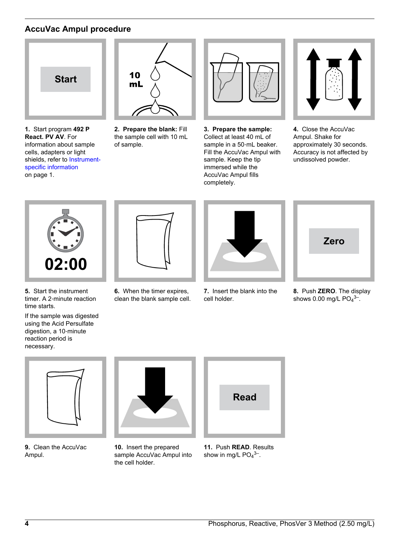## **AccuVac Ampul procedure**



**1.** Start program **492 P React. PV AV**. For information about sample cells, adapters or light shields, refer to [Instrument](#page-0-1)[specific information](#page-0-1) on page 1.



**2. Prepare the blank:** Fill the sample cell with 10 mL of sample.



**3. Prepare the sample:** Collect at least 40 mL of sample in a 50-mL beaker. Fill the AccuVac Ampul with sample. Keep the tip immersed while the AccuVac Ampul fills completely.



**4.** Close the AccuVac Ampul. Shake for approximately 30 seconds. Accuracy is not affected by undissolved powder.



- **5.** Start the instrument timer. A 2‑minute reaction time starts.
- If the sample was digested using the Acid Persulfate digestion, a 10‑minute reaction period is necessary.



**6.** When the timer expires, clean the blank sample cell.



**7.** Insert the blank into the cell holder.



**8.** Push **ZERO**. The display shows  $0.00 \text{ mg/L} \text{ PO}_4{}^{3-}.$ 



**9.** Clean the AccuVac Ampul.



**10.** Insert the prepared sample AccuVac Ampul into the cell holder.



**11.** Push **READ**. Results show in mg/L  $PO<sub>4</sub><sup>3–</sup>$ .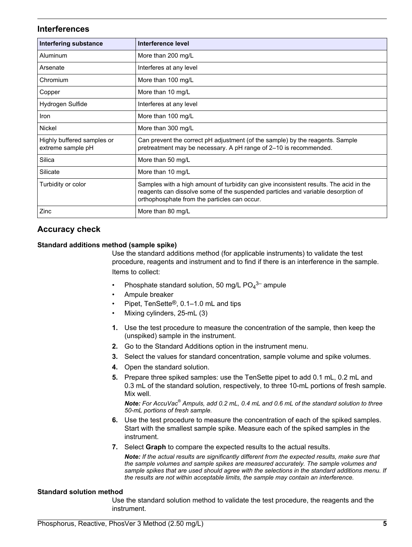#### **Interferences**

| Interfering substance                           | Interference level                                                                                                                                                                                                         |
|-------------------------------------------------|----------------------------------------------------------------------------------------------------------------------------------------------------------------------------------------------------------------------------|
| Aluminum                                        | More than 200 mg/L                                                                                                                                                                                                         |
| Arsenate                                        | Interferes at any level                                                                                                                                                                                                    |
| Chromium                                        | More than 100 mg/L                                                                                                                                                                                                         |
| Copper                                          | More than 10 mg/L                                                                                                                                                                                                          |
| Hydrogen Sulfide                                | Interferes at any level                                                                                                                                                                                                    |
| Iron                                            | More than 100 mg/L                                                                                                                                                                                                         |
| Nickel                                          | More than 300 mg/L                                                                                                                                                                                                         |
| Highly buffered samples or<br>extreme sample pH | Can prevent the correct pH adjustment (of the sample) by the reagents. Sample<br>pretreatment may be necessary. A pH range of 2-10 is recommended.                                                                         |
| Silica                                          | More than 50 mg/L                                                                                                                                                                                                          |
| Silicate                                        | More than 10 mg/L                                                                                                                                                                                                          |
| Turbidity or color                              | Samples with a high amount of turbidity can give inconsistent results. The acid in the<br>reagents can dissolve some of the suspended particles and variable desorption of<br>orthophosphate from the particles can occur. |
| Zinc                                            | More than 80 mg/L                                                                                                                                                                                                          |

## **Accuracy check**

#### **Standard additions method (sample spike)**

Use the standard additions method (for applicable instruments) to validate the test procedure, reagents and instrument and to find if there is an interference in the sample. Items to collect:

- Phosphate standard solution, 50 mg/L  $PO_4^{3-}$  ampule
- Ampule breaker
- Pipet, TenSette®, 0.1–1.0 mL and tips
- Mixing cylinders, 25-mL (3)
- **1.** Use the test procedure to measure the concentration of the sample, then keep the (unspiked) sample in the instrument.
- **2.** Go to the Standard Additions option in the instrument menu.
- **3.** Select the values for standard concentration, sample volume and spike volumes.
- **4.** Open the standard solution.
- **5.** Prepare three spiked samples: use the TenSette pipet to add 0.1 mL, 0.2 mL and 0.3 mL of the standard solution, respectively, to three 10-mL portions of fresh sample. Mix well.

*Note: For AccuVac® Ampuls, add 0.2 mL, 0.4 mL and 0.6 mL of the standard solution to three 50-mL portions of fresh sample.*

- **6.** Use the test procedure to measure the concentration of each of the spiked samples. Start with the smallest sample spike. Measure each of the spiked samples in the instrument.
- **7.** Select **Graph** to compare the expected results to the actual results.

*Note: If the actual results are significantly different from the expected results, make sure that the sample volumes and sample spikes are measured accurately. The sample volumes and sample spikes that are used should agree with the selections in the standard additions menu. If the results are not within acceptable limits, the sample may contain an interference.*

#### **Standard solution method**

Use the standard solution method to validate the test procedure, the reagents and the instrument.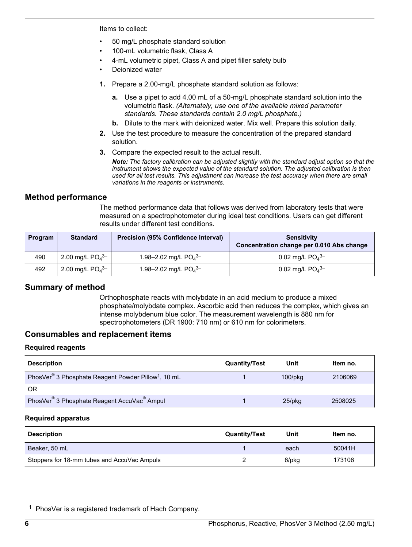Items to collect:

- 50 mg/L phosphate standard solution
- 100-mL volumetric flask, Class A
- 4-mL volumetric pipet, Class A and pipet filler safety bulb
- Deionized water
- **1.** Prepare a 2.00-mg/L phosphate standard solution as follows:
	- **a.** Use a pipet to add 4.00 mL of a 50-mg/L phosphate standard solution into the volumetric flask. *(Alternately, use one of the available mixed parameter standards. These standards contain 2.0 mg/L phosphate.)*
	- **b.** Dilute to the mark with deionized water. Mix well. Prepare this solution daily.
- **2.** Use the test procedure to measure the concentration of the prepared standard solution.
- **3.** Compare the expected result to the actual result.

*Note: The factory calibration can be adjusted slightly with the standard adjust option so that the instrument shows the expected value of the standard solution. The adjusted calibration is then used for all test results. This adjustment can increase the test accuracy when there are small variations in the reagents or instruments.*

#### **Method performance**

The method performance data that follows was derived from laboratory tests that were measured on a spectrophotometer during ideal test conditions. Users can get different results under different test conditions.

<span id="page-5-0"></span>

| Program | <b>Standard</b>               | Precision (95% Confidence Interval) | <b>Sensitivity</b><br>Concentration change per 0.010 Abs change |
|---------|-------------------------------|-------------------------------------|-----------------------------------------------------------------|
| 490     | 2.00 mg/L $PO4$ <sup>3-</sup> | 1.98-2.02 mg/L $PO4$ <sup>3-</sup>  | 0.02 mg/L $PO4$ <sup>3-</sup>                                   |
| 492     | 2.00 mg/L $PO4$ <sup>3-</sup> | 1.98-2.02 mg/L $PO4$ <sup>3-</sup>  | 0.02 mg/L $PO4$ <sup>3-</sup>                                   |

## **Summary of method**

Orthophosphate reacts with molybdate in an acid medium to produce a mixed phosphate/molybdate complex. Ascorbic acid then reduces the complex, which gives an intense molybdenum blue color. The measurement wavelength is 880 nm for spectrophotometers (DR 1900: 710 nm) or 610 nm for colorimeters.

#### **Consumables and replacement items**

#### **Required reagents**

| <b>Description</b>                                                          | <b>Quantity/Test</b> | Unit          | Item no. |
|-----------------------------------------------------------------------------|----------------------|---------------|----------|
| PhosVer <sup>®</sup> 3 Phosphate Reagent Powder Pillow <sup>1</sup> , 10 mL |                      | $100$ /p $kg$ | 2106069  |
| <b>OR</b>                                                                   |                      |               |          |
| PhosVer <sup>®</sup> 3 Phosphate Reagent AccuVac <sup>®</sup> Ampul         |                      | $25$ /pkq     | 2508025  |

#### **Required apparatus**

| <b>Description</b>                          | <b>Quantity/Test</b> | Unit  | Item no. |
|---------------------------------------------|----------------------|-------|----------|
| Beaker, 50 mL                               |                      | each  | 50041H   |
| Stoppers for 18-mm tubes and AccuVac Ampuls |                      | 6/pkg | 173106   |

<sup>&</sup>lt;sup>1</sup> PhosVer is a registered trademark of Hach Company.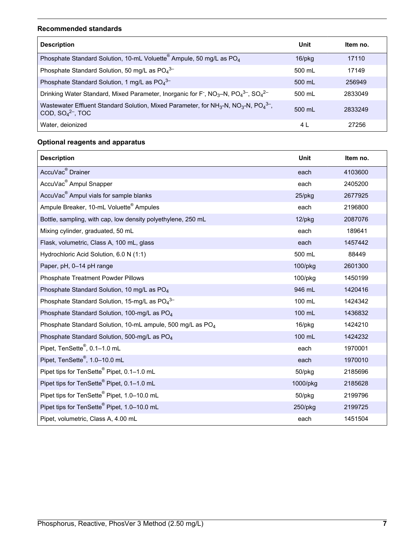#### **Recommended standards**

| <b>Description</b>                                                                                                                                         | Unit             | Item no. |
|------------------------------------------------------------------------------------------------------------------------------------------------------------|------------------|----------|
| Phosphate Standard Solution, 10-mL Voluette <sup>®</sup> Ampule, 50 mg/L as PO <sub>4</sub>                                                                | $16$ /pkg        | 17110    |
| Phosphate Standard Solution, 50 mg/L as $PO_4^{3-}$                                                                                                        | 500 ml           | 17149    |
| Phosphate Standard Solution, 1 mg/L as PO <sub>4</sub> <sup>3-</sup>                                                                                       | 500 mL           | 256949   |
| Drinking Water Standard, Mixed Parameter, Inorganic for F <sup>-</sup> , NO <sub>3</sub> -N, PO <sub>4</sub> <sup>3-</sup> , SO <sub>4</sub> <sup>2-</sup> | 500 mL           | 2833049  |
| Wastewater Effluent Standard Solution, Mixed Parameter, for NH <sub>3</sub> -N, NO <sub>3</sub> -N, PO <sub>4</sub> <sup>3-</sup> ,<br>COD, $SO42-$ , TOC  | $500 \text{ ml}$ | 2833249  |
| Water, deionized                                                                                                                                           | 4 L              | 27256    |

## **Optional reagents and apparatus**

| <b>Description</b>                                                     | <b>Unit</b> | Item no. |
|------------------------------------------------------------------------|-------------|----------|
| AccuVac <sup>®</sup> Drainer                                           | each        | 4103600  |
| AccuVac <sup>®</sup> Ampul Snapper                                     | each        | 2405200  |
| AccuVac <sup>®</sup> Ampul vials for sample blanks                     | 25/pkg      | 2677925  |
| Ampule Breaker, 10-mL Voluette <sup>®</sup> Ampules                    | each        | 2196800  |
| Bottle, sampling, with cap, low density polyethylene, 250 mL           | $12$ /pkg   | 2087076  |
| Mixing cylinder, graduated, 50 mL                                      | each        | 189641   |
| Flask, volumetric, Class A, 100 mL, glass                              | each        | 1457442  |
| Hydrochloric Acid Solution, 6.0 N (1:1)                                | 500 mL      | 88449    |
| Paper, pH, 0-14 pH range                                               | 100/pkg     | 2601300  |
| <b>Phosphate Treatment Powder Pillows</b>                              | 100/pkg     | 1450199  |
| Phosphate Standard Solution, 10 mg/L as PO <sub>4</sub>                | 946 mL      | 1420416  |
| Phosphate Standard Solution, 15-mg/L as PO <sub>4</sub> 3-             | 100 mL      | 1424342  |
| Phosphate Standard Solution, 100-mg/L as PO <sub>4</sub>               | 100 mL      | 1436832  |
| Phosphate Standard Solution, 10-mL ampule, 500 mg/L as PO <sub>4</sub> | 16/pkg      | 1424210  |
| Phosphate Standard Solution, 500-mg/L as PO <sub>4</sub>               | 100 mL      | 1424232  |
| Pipet, TenSette <sup>®</sup> , 0.1-1.0 mL                              | each        | 1970001  |
| Pipet, TenSette <sup>®</sup> , 1.0-10.0 mL                             | each        | 1970010  |
| Pipet tips for TenSette <sup>®</sup> Pipet, 0.1-1.0 mL                 | 50/pkg      | 2185696  |
| Pipet tips for TenSette <sup>®</sup> Pipet, 0.1-1.0 mL                 | 1000/pkg    | 2185628  |
| Pipet tips for TenSette <sup>®</sup> Pipet, 1.0-10.0 mL                | 50/pkg      | 2199796  |
| Pipet tips for TenSette <sup>®</sup> Pipet, 1.0-10.0 mL                | 250/pkg     | 2199725  |
| Pipet, volumetric, Class A, 4.00 mL                                    | each        | 1451504  |